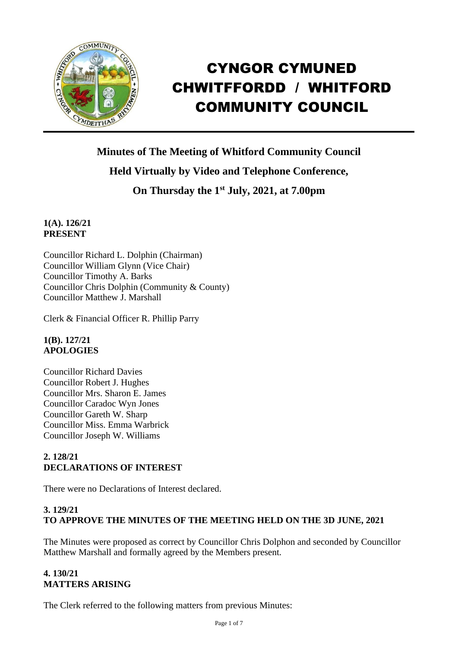

# CYNGOR CYMUNED CHWITFFORDD / WHITFORD COMMUNITY COUNCIL

**Minutes of The Meeting of Whitford Community Council**

# **Held Virtually by Video and Telephone Conference,**

**On Thursday the 1 st July, 2021, at 7.00pm** 

## **1(A). 126/21 PRESENT**

Councillor Richard L. Dolphin (Chairman) Councillor William Glynn (Vice Chair) Councillor Timothy A. Barks Councillor Chris Dolphin (Community & County) Councillor Matthew J. Marshall

Clerk & Financial Officer R. Phillip Parry

#### **1(B). 127/21 APOLOGIES**

Councillor Richard Davies Councillor Robert J. Hughes Councillor Mrs. Sharon E. James Councillor Caradoc Wyn Jones Councillor Gareth W. Sharp Councillor Miss. Emma Warbrick Councillor Joseph W. Williams

# **2. 128/21 DECLARATIONS OF INTEREST**

There were no Declarations of Interest declared.

# **3. 129/21 TO APPROVE THE MINUTES OF THE MEETING HELD ON THE 3D JUNE, 2021**

The Minutes were proposed as correct by Councillor Chris Dolphon and seconded by Councillor Matthew Marshall and formally agreed by the Members present.

## **4. 130/21 MATTERS ARISING**

The Clerk referred to the following matters from previous Minutes: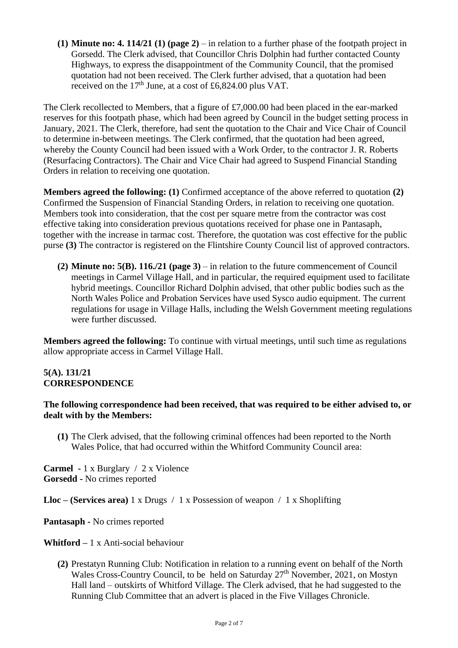**(1) Minute no: 4. 114/21 (1) (page 2)** – in relation to a further phase of the footpath project in Gorsedd. The Clerk advised, that Councillor Chris Dolphin had further contacted County Highways, to express the disappointment of the Community Council, that the promised quotation had not been received. The Clerk further advised, that a quotation had been received on the 17<sup>th</sup> June, at a cost of £6,824.00 plus VAT.

The Clerk recollected to Members, that a figure of £7,000.00 had been placed in the ear-marked reserves for this footpath phase, which had been agreed by Council in the budget setting process in January, 2021. The Clerk, therefore, had sent the quotation to the Chair and Vice Chair of Council to determine in-between meetings. The Clerk confirmed, that the quotation had been agreed, whereby the County Council had been issued with a Work Order, to the contractor J. R. Roberts (Resurfacing Contractors). The Chair and Vice Chair had agreed to Suspend Financial Standing Orders in relation to receiving one quotation.

**Members agreed the following: (1)** Confirmed acceptance of the above referred to quotation **(2)** Confirmed the Suspension of Financial Standing Orders, in relation to receiving one quotation. Members took into consideration, that the cost per square metre from the contractor was cost effective taking into consideration previous quotations received for phase one in Pantasaph, together with the increase in tarmac cost. Therefore, the quotation was cost effective for the public purse **(3)** The contractor is registered on the Flintshire County Council list of approved contractors.

**(2) Minute no: 5(B). 116./21 (page 3)** – in relation to the future commencement of Council meetings in Carmel Village Hall, and in particular, the required equipment used to facilitate hybrid meetings. Councillor Richard Dolphin advised, that other public bodies such as the North Wales Police and Probation Services have used Sysco audio equipment. The current regulations for usage in Village Halls, including the Welsh Government meeting regulations were further discussed.

**Members agreed the following:** To continue with virtual meetings, until such time as regulations allow appropriate access in Carmel Village Hall.

#### **5(A). 131/21 CORRESPONDENCE**

#### **The following correspondence had been received, that was required to be either advised to, or dealt with by the Members:**

**(1)** The Clerk advised, that the following criminal offences had been reported to the North Wales Police, that had occurred within the Whitford Community Council area:

**Carmel -** 1 x Burglary / 2 x Violence **Gorsedd -** No crimes reported

**Lloc – (Services area)** 1 x Drugs / 1 x Possession of weapon / 1 x Shoplifting

**Pantasaph -** No crimes reported

**Whitford –** 1 x Anti-social behaviour

**(2)** Prestatyn Running Club: Notification in relation to a running event on behalf of the North Wales Cross-Country Council, to be held on Saturday 27<sup>th</sup> November, 2021, on Mostyn Hall land – outskirts of Whitford Village. The Clerk advised, that he had suggested to the Running Club Committee that an advert is placed in the Five Villages Chronicle.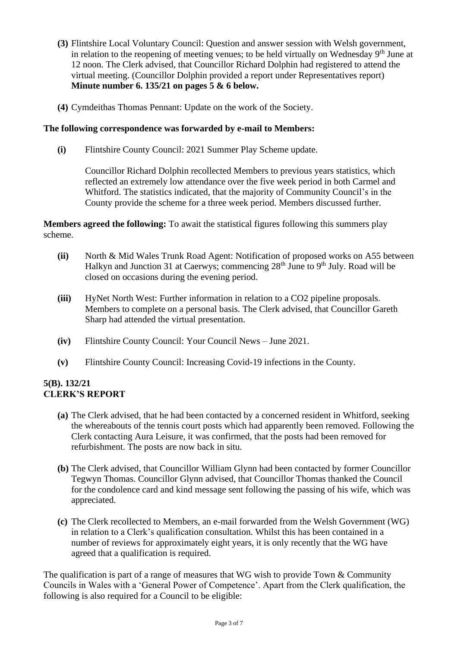- **(3)** Flintshire Local Voluntary Council: Question and answer session with Welsh government, in relation to the reopening of meeting venues; to be held virtually on Wednesday  $9<sup>th</sup>$  June at 12 noon. The Clerk advised, that Councillor Richard Dolphin had registered to attend the virtual meeting. (Councillor Dolphin provided a report under Representatives report) **Minute number 6. 135/21 on pages 5 & 6 below.**
- **(4)** Cymdeithas Thomas Pennant: Update on the work of the Society.

#### **The following correspondence was forwarded by e-mail to Members:**

**(i)** Flintshire County Council: 2021 Summer Play Scheme update.

Councillor Richard Dolphin recollected Members to previous years statistics, which reflected an extremely low attendance over the five week period in both Carmel and Whitford. The statistics indicated, that the majority of Community Council's in the County provide the scheme for a three week period. Members discussed further.

**Members agreed the following:** To await the statistical figures following this summers play scheme.

- **(ii)** North & Mid Wales Trunk Road Agent: Notification of proposed works on A55 between Halkyn and Junction 31 at Caerwys; commencing  $28<sup>th</sup>$  June to  $9<sup>th</sup>$  July. Road will be closed on occasions during the evening period.
- **(iii)** HyNet North West: Further information in relation to a CO2 pipeline proposals. Members to complete on a personal basis. The Clerk advised, that Councillor Gareth Sharp had attended the virtual presentation.
- **(iv)** Flintshire County Council: Your Council News June 2021.
- **(v)** Flintshire County Council: Increasing Covid-19 infections in the County.

#### **5(B). 132/21 CLERK'S REPORT**

- **(a)** The Clerk advised, that he had been contacted by a concerned resident in Whitford, seeking the whereabouts of the tennis court posts which had apparently been removed. Following the Clerk contacting Aura Leisure, it was confirmed, that the posts had been removed for refurbishment. The posts are now back in situ.
- **(b)** The Clerk advised, that Councillor William Glynn had been contacted by former Councillor Tegwyn Thomas. Councillor Glynn advised, that Councillor Thomas thanked the Council for the condolence card and kind message sent following the passing of his wife, which was appreciated.
- **(c)** The Clerk recollected to Members, an e-mail forwarded from the Welsh Government (WG) in relation to a Clerk's qualification consultation. Whilst this has been contained in a number of reviews for approximately eight years, it is only recently that the WG have agreed that a qualification is required.

The qualification is part of a range of measures that WG wish to provide Town & Community Councils in Wales with a 'General Power of Competence'. Apart from the Clerk qualification, the following is also required for a Council to be eligible: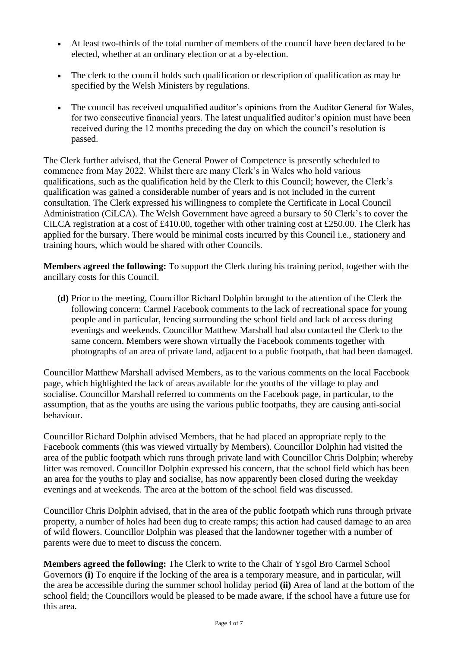- At least two-thirds of the total number of members of the council have been declared to be elected, whether at an ordinary election or at a by-election.
- The clerk to the council holds such qualification or description of qualification as may be specified by the Welsh Ministers by regulations.
- The council has received unqualified auditor's opinions from the Auditor General for Wales, for two consecutive financial years. The latest unqualified auditor's opinion must have been received during the 12 months preceding the day on which the council's resolution is passed.

The Clerk further advised, that the General Power of Competence is presently scheduled to commence from May 2022. Whilst there are many Clerk's in Wales who hold various qualifications, such as the qualification held by the Clerk to this Council; however, the Clerk's qualification was gained a considerable number of years and is not included in the current consultation. The Clerk expressed his willingness to complete the Certificate in Local Council Administration (CiLCA). The Welsh Government have agreed a bursary to 50 Clerk's to cover the CiLCA registration at a cost of £410.00, together with other training cost at £250.00. The Clerk has applied for the bursary. There would be minimal costs incurred by this Council i.e., stationery and training hours, which would be shared with other Councils.

**Members agreed the following:** To support the Clerk during his training period, together with the ancillary costs for this Council.

**(d)** Prior to the meeting, Councillor Richard Dolphin brought to the attention of the Clerk the following concern: Carmel Facebook comments to the lack of recreational space for young people and in particular, fencing surrounding the school field and lack of access during evenings and weekends. Councillor Matthew Marshall had also contacted the Clerk to the same concern. Members were shown virtually the Facebook comments together with photographs of an area of private land, adjacent to a public footpath, that had been damaged.

Councillor Matthew Marshall advised Members, as to the various comments on the local Facebook page, which highlighted the lack of areas available for the youths of the village to play and socialise. Councillor Marshall referred to comments on the Facebook page, in particular, to the assumption, that as the youths are using the various public footpaths, they are causing anti-social behaviour.

Councillor Richard Dolphin advised Members, that he had placed an appropriate reply to the Facebook comments (this was viewed virtually by Members). Councillor Dolphin had visited the area of the public footpath which runs through private land with Councillor Chris Dolphin; whereby litter was removed. Councillor Dolphin expressed his concern, that the school field which has been an area for the youths to play and socialise, has now apparently been closed during the weekday evenings and at weekends. The area at the bottom of the school field was discussed.

Councillor Chris Dolphin advised, that in the area of the public footpath which runs through private property, a number of holes had been dug to create ramps; this action had caused damage to an area of wild flowers. Councillor Dolphin was pleased that the landowner together with a number of parents were due to meet to discuss the concern.

**Members agreed the following:** The Clerk to write to the Chair of Ysgol Bro Carmel School Governors **(i)** To enquire if the locking of the area is a temporary measure, and in particular, will the area be accessible during the summer school holiday period **(ii)** Area of land at the bottom of the school field; the Councillors would be pleased to be made aware, if the school have a future use for this area.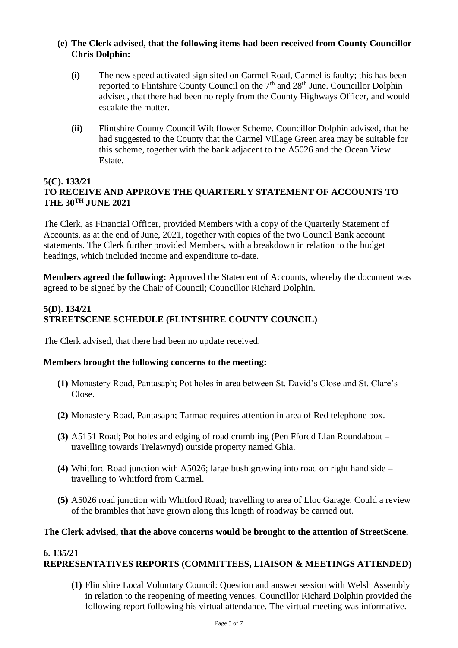#### **(e) The Clerk advised, that the following items had been received from County Councillor Chris Dolphin:**

- **(i)** The new speed activated sign sited on Carmel Road, Carmel is faulty; this has been reported to Flintshire County Council on the 7<sup>th</sup> and 28<sup>th</sup> June. Councillor Dolphin advised, that there had been no reply from the County Highways Officer, and would escalate the matter.
- **(ii)** Flintshire County Council Wildflower Scheme. Councillor Dolphin advised, that he had suggested to the County that the Carmel Village Green area may be suitable for this scheme, together with the bank adjacent to the A5026 and the Ocean View Estate.

#### **5(C). 133/21 TO RECEIVE AND APPROVE THE QUARTERLY STATEMENT OF ACCOUNTS TO THE 30TH JUNE 2021**

The Clerk, as Financial Officer, provided Members with a copy of the Quarterly Statement of Accounts, as at the end of June, 2021, together with copies of the two Council Bank account statements. The Clerk further provided Members, with a breakdown in relation to the budget headings, which included income and expenditure to-date.

**Members agreed the following:** Approved the Statement of Accounts, whereby the document was agreed to be signed by the Chair of Council; Councillor Richard Dolphin.

### **5(D). 134/21 STREETSCENE SCHEDULE (FLINTSHIRE COUNTY COUNCIL)**

The Clerk advised, that there had been no update received.

#### **Members brought the following concerns to the meeting:**

- **(1)** Monastery Road, Pantasaph; Pot holes in area between St. David's Close and St. Clare's Close.
- **(2)** Monastery Road, Pantasaph; Tarmac requires attention in area of Red telephone box.
- **(3)** A5151 Road; Pot holes and edging of road crumbling (Pen Ffordd Llan Roundabout travelling towards Trelawnyd) outside property named Ghia.
- **(4)** Whitford Road junction with A5026; large bush growing into road on right hand side travelling to Whitford from Carmel.
- **(5)** A5026 road junction with Whitford Road; travelling to area of Lloc Garage. Could a review of the brambles that have grown along this length of roadway be carried out.

#### **The Clerk advised, that the above concerns would be brought to the attention of StreetScene.**

#### **6. 135/21**

## **REPRESENTATIVES REPORTS (COMMITTEES, LIAISON & MEETINGS ATTENDED)**

**(1)** Flintshire Local Voluntary Council: Question and answer session with Welsh Assembly in relation to the reopening of meeting venues. Councillor Richard Dolphin provided the following report following his virtual attendance. The virtual meeting was informative.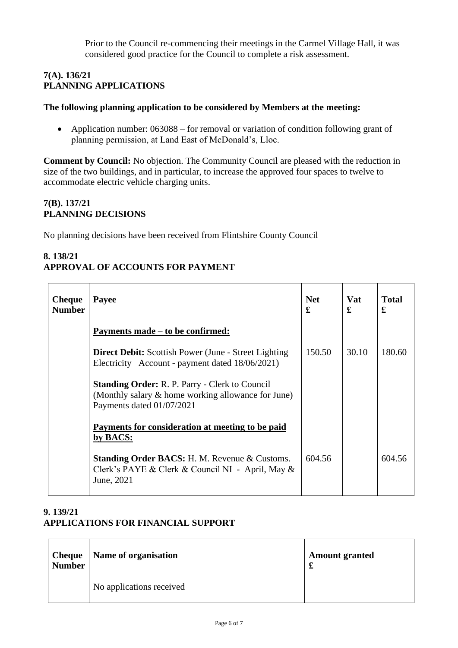Prior to the Council re-commencing their meetings in the Carmel Village Hall, it was considered good practice for the Council to complete a risk assessment.

#### **7(A). 136/21 PLANNING APPLICATIONS**

## **The following planning application to be considered by Members at the meeting:**

• Application number: 063088 – for removal or variation of condition following grant of planning permission, at Land East of McDonald's, Lloc.

**Comment by Council:** No objection. The Community Council are pleased with the reduction in size of the two buildings, and in particular, to increase the approved four spaces to twelve to accommodate electric vehicle charging units.

## **7(B). 137/21 PLANNING DECISIONS**

No planning decisions have been received from Flintshire County Council

# **8. 138/21 APPROVAL OF ACCOUNTS FOR PAYMENT**

| <b>Cheque</b><br><b>Number</b> | <b>Payee</b>                                                                                                                             | <b>Net</b><br>£ | <b>Vat</b><br>£ | <b>Total</b><br>£ |
|--------------------------------|------------------------------------------------------------------------------------------------------------------------------------------|-----------------|-----------------|-------------------|
|                                | Payments made – to be confirmed:                                                                                                         |                 |                 |                   |
|                                | <b>Direct Debit:</b> Scottish Power (June - Street Lighting<br>Electricity Account - payment dated 18/06/2021)                           | 150.50          | 30.10           | 180.60            |
|                                | <b>Standing Order:</b> R. P. Parry - Clerk to Council<br>(Monthly salary & home working allowance for June)<br>Payments dated 01/07/2021 |                 |                 |                   |
|                                | Payments for consideration at meeting to be paid<br>by BACS:                                                                             |                 |                 |                   |
|                                | <b>Standing Order BACS: H. M. Revenue &amp; Customs.</b><br>Clerk's PAYE & Clerk & Council NI - April, May &<br>June, 2021               | 604.56          |                 | 604.56            |

## **9. 139/21 APPLICATIONS FOR FINANCIAL SUPPORT**

| <b>Cheque</b><br><b>Number</b> | Name of organisation     | <b>Amount granted</b> |
|--------------------------------|--------------------------|-----------------------|
|                                | No applications received |                       |